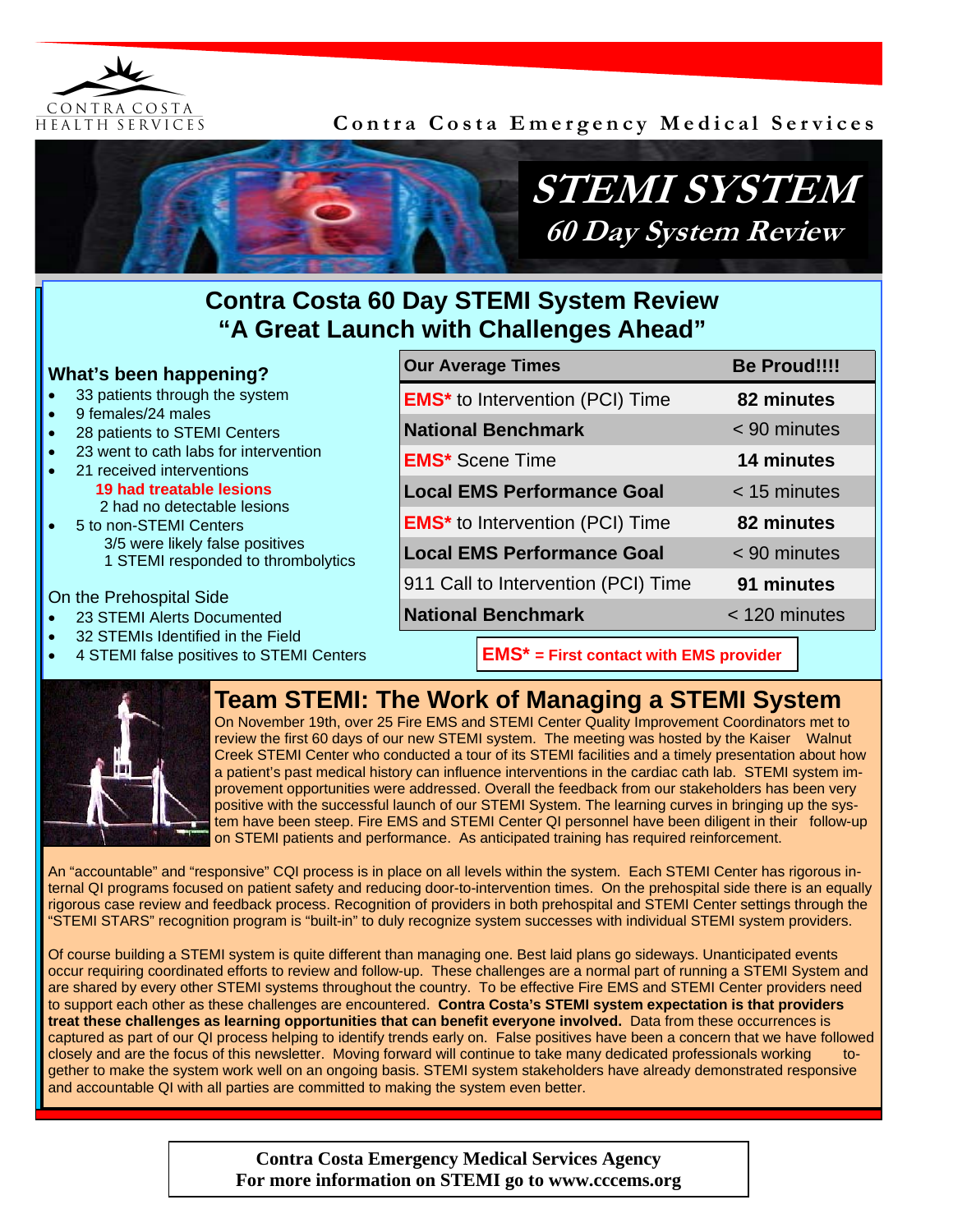

**Contra Costa Emergency Medical Services** 



## **Contra Costa 60 Day STEMI System Review "A Great Launch with Challenges Ahead"**

#### **What's been happening?**  33 patients through the system • 9 females/24 males • 28 patients to STEMI Centers • 23 went to cath labs for intervention • 21 received interventions  **19 had treatable lesions**  2 had no detectable lesions • 5 to non-STEMI Centers 3/5 were likely false positives 1 STEMI responded to thrombolytics On the Prehospital Side • 23 STEMI Alerts Documented 32 STEMIs Identified in the Field • 4 STEMI false positives to STEMI Centers **Our Average Times Be Proud!!!! EMS\*** to Intervention (PCI) Time **82 minutes National Benchmark**  $\leq 90$  minutes **EMS\*** Scene Time **14 minutes Local EMS Performance Goal** < 15 minutes **EMS\*** to Intervention (PCI) Time **82 minutes Local EMS Performance Goal** < 90 minutes 911 Call to Intervention (PCI) Time **91 minutes National Benchmark** < 120 minutes **EMS\* = First contact with EMS provider**

## **Team STEMI: The Work of Managing a STEMI System**



On November 19th, over 25 Fire EMS and STEMI Center Quality Improvement Coordinators met to review the first 60 days of our new STEMI system. The meeting was hosted by the Kaiser Walnut Creek STEMI Center who conducted a tour of its STEMI facilities and a timely presentation about how a patient's past medical history can influence interventions in the cardiac cath lab. STEMI system improvement opportunities were addressed. Overall the feedback from our stakeholders has been very positive with the successful launch of our STEMI System. The learning curves in bringing up the system have been steep. Fire EMS and STEMI Center QI personnel have been diligent in their follow-up on STEMI patients and performance. As anticipated training has required reinforcement.

An "accountable" and "responsive" CQI process is in place on all levels within the system. Each STEMI Center has rigorous internal QI programs focused on patient safety and reducing door-to-intervention times. On the prehospital side there is an equally rigorous case review and feedback process. Recognition of providers in both prehospital and STEMI Center settings through the "STEMI STARS" recognition program is "built-in" to duly recognize system successes with individual STEMI system providers.

Of course building a STEMI system is quite different than managing one. Best laid plans go sideways. Unanticipated events occur requiring coordinated efforts to review and follow-up. These challenges are a normal part of running a STEMI System and are shared by every other STEMI systems throughout the country. To be effective Fire EMS and STEMI Center providers need to support each other as these challenges are encountered. **Contra Costa's STEMI system expectation is that providers treat these challenges as learning opportunities that can benefit everyone involved.** Data from these occurrences is captured as part of our QI process helping to identify trends early on. False positives have been a concern that we have followed closely and are the focus of this newsletter. Moving forward will continue to take many dedicated professionals working together to make the system work well on an ongoing basis. STEMI system stakeholders have already demonstrated responsive and accountable QI with all parties are committed to making the system even better.

> **Contra Costa Emergency Medical Services Agency For more information on STEMI go to www.cccems.org**